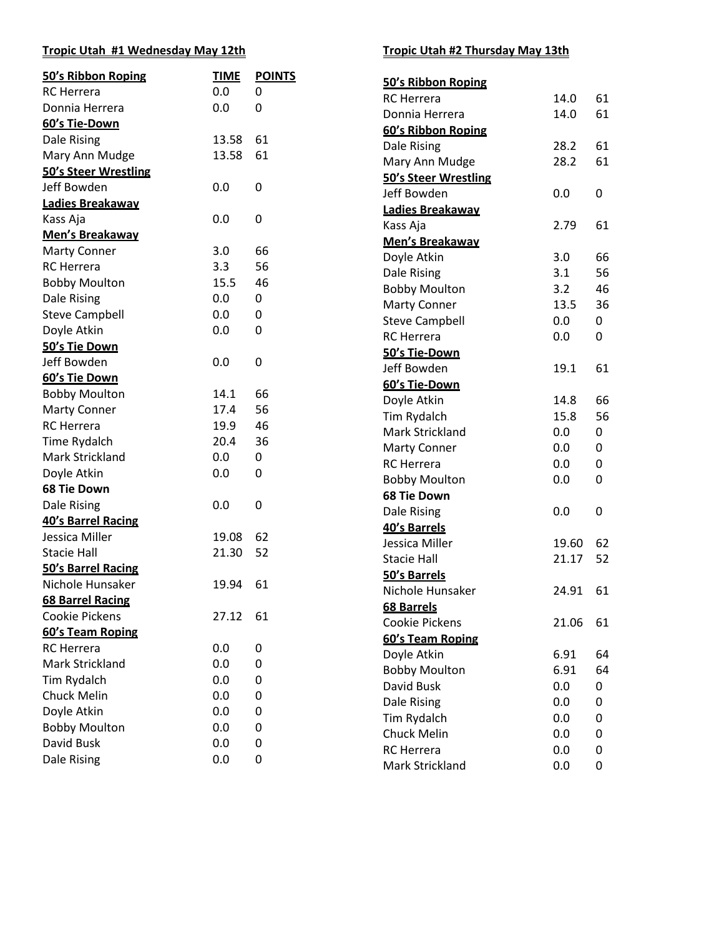### **Tropic Utah #1 Wednesday May 12th**

| 50's Ribbon Roping          | <b>TIME</b> | <b>POINTS</b> | 50's Ribbon Roping    |       |           |
|-----------------------------|-------------|---------------|-----------------------|-------|-----------|
| <b>RC</b> Herrera           | 0.0         | 0             | <b>RC</b> Herrera     | 14.0  | 61        |
| Donnia Herrera              | 0.0         | 0             | Donnia Herrera        | 14.0  | 61        |
| 60's Tie-Down               |             |               | 60's Ribbon Roping    |       |           |
| Dale Rising                 | 13.58       | 61            | Dale Rising           | 28.2  | 61        |
| Mary Ann Mudge              | 13.58       | 61            | Mary Ann Mudge        | 28.2  | 61        |
| <b>50's Steer Wrestling</b> |             |               | 50's Steer Wrestling  |       |           |
| Jeff Bowden                 | 0.0         | $\pmb{0}$     | Jeff Bowden           | 0.0   | $\pmb{0}$ |
| Ladies Breakaway            |             |               | Ladies Breakaway      |       |           |
| Kass Aja                    | 0.0         | $\pmb{0}$     | Kass Aja              | 2.79  | 61        |
| Men's Breakaway             |             |               | Men's Breakaway       |       |           |
| <b>Marty Conner</b>         | 3.0         | 66            | Doyle Atkin           | 3.0   | 66        |
| <b>RC</b> Herrera           | 3.3         | 56            | Dale Rising           | 3.1   | 56        |
| <b>Bobby Moulton</b>        | 15.5        | 46            | <b>Bobby Moulton</b>  | 3.2   | 46        |
| Dale Rising                 | 0.0         | 0             | <b>Marty Conner</b>   | 13.5  | 36        |
| <b>Steve Campbell</b>       | 0.0         | 0             | <b>Steve Campbell</b> | 0.0   | 0         |
| Doyle Atkin                 | 0.0         | $\pmb{0}$     | <b>RC</b> Herrera     | 0.0   | 0         |
| 50's Tie Down               |             |               | 50's Tie-Down         |       |           |
| Jeff Bowden                 | 0.0         | $\pmb{0}$     | Jeff Bowden           | 19.1  | 61        |
| 60's Tie Down               |             |               | 60's Tie-Down         |       |           |
| <b>Bobby Moulton</b>        | 14.1        | 66            | Doyle Atkin           | 14.8  | 66        |
| <b>Marty Conner</b>         | 17.4        | 56            | Tim Rydalch           | 15.8  | 56        |
| <b>RC</b> Herrera           | 19.9        | 46            | Mark Strickland       | 0.0   | 0         |
| Time Rydalch                | 20.4        | 36            | <b>Marty Conner</b>   | 0.0   | 0         |
| Mark Strickland             | 0.0         | 0             | <b>RC</b> Herrera     | 0.0   | 0         |
| Doyle Atkin                 | 0.0         | $\mathbf 0$   | <b>Bobby Moulton</b>  | 0.0   | 0         |
| <b>68 Tie Down</b>          |             |               | <b>68 Tie Down</b>    |       |           |
| Dale Rising                 | 0.0         | $\mathbf 0$   | Dale Rising           | 0.0   | $\pmb{0}$ |
| 40's Barrel Racing          |             |               | 40's Barrels          |       |           |
| Jessica Miller              | 19.08       | 62            | Jessica Miller        | 19.60 | 62        |
| <b>Stacie Hall</b>          | 21.30       | 52            | <b>Stacie Hall</b>    | 21.17 | 52        |
| 50's Barrel Racing          |             |               | 50's Barrels          |       |           |
| Nichole Hunsaker            | 19.94       | 61            | Nichole Hunsaker      | 24.91 | 61        |
| <b>68 Barrel Racing</b>     |             |               | <b>68 Barrels</b>     |       |           |
| Cookie Pickens              | 27.12       | 61            | Cookie Pickens        | 21.06 | 61        |
| 60's Team Roping            |             |               | 60's Team Roping      |       |           |
| <b>RC</b> Herrera           | 0.0         | 0             | Doyle Atkin           | 6.91  | 64        |
| Mark Strickland             | 0.0         | 0             | <b>Bobby Moulton</b>  | 6.91  | 64        |
| Tim Rydalch                 | 0.0         | 0             | David Busk            | 0.0   | 0         |
| <b>Chuck Melin</b>          | 0.0         | 0             | Dale Rising           | 0.0   | 0         |
| Doyle Atkin                 | 0.0         | 0             | Tim Rydalch           | 0.0   | 0         |
| <b>Bobby Moulton</b>        | 0.0         | 0             | Chuck Melin           | 0.0   | 0         |
| David Busk                  | 0.0         | 0             | <b>RC</b> Herrera     | 0.0   | 0         |
| Dale Rising                 | 0.0         | 0             | Mark Strickland       | 0.0   | 0         |
|                             |             |               |                       |       |           |

### **Tropic Utah #2 Thursday May 13th**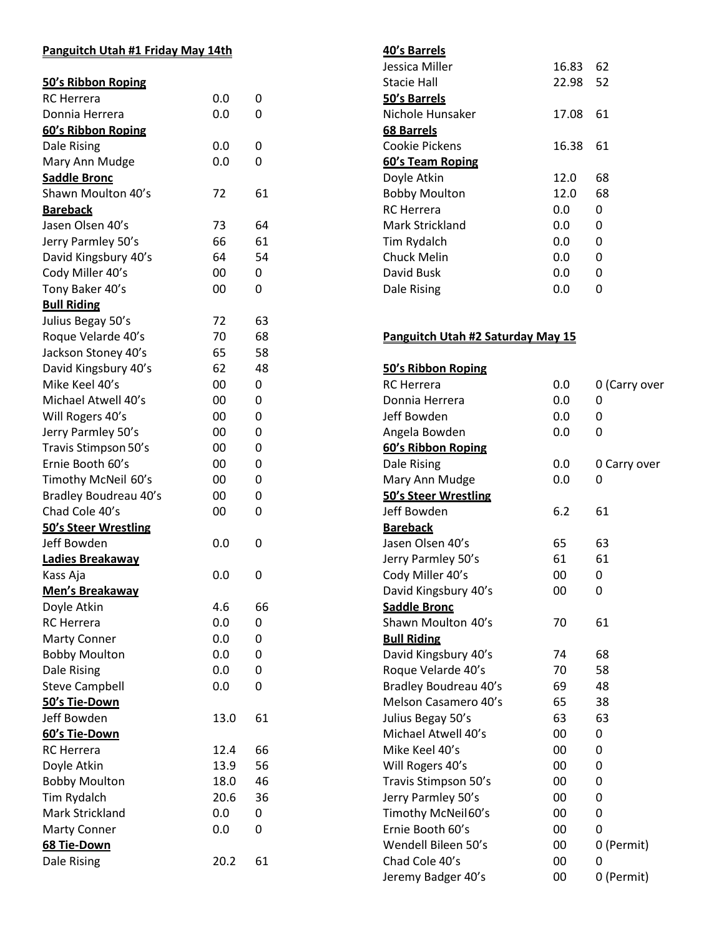# **Panguitch Utah #1 Friday May 14th**

| 50's Ribbon Roping          |      |    |
|-----------------------------|------|----|
| <b>RC</b> Herrera           | 0.0  | 0  |
| Donnia Herrera              | 0.0  | 0  |
| 60's Ribbon Roping          |      |    |
| Dale Rising                 | 0.0  | 0  |
| Mary Ann Mudge              | 0.0  | 0  |
| <b>Saddle Bronc</b>         |      |    |
| Shawn Moulton 40's          | 72   | 61 |
| <b>Bareback</b>             |      |    |
| Jasen Olsen 40's            | 73   | 64 |
| Jerry Parmley 50's          | 66   | 61 |
| David Kingsbury 40's        | 64   | 54 |
| Cody Miller 40's            | 00   | 0  |
| Tony Baker 40's             | 00   | 0  |
| <b>Bull Riding</b>          |      |    |
| Julius Begay 50's           | 72   | 63 |
| Roque Velarde 40's          | 70   | 68 |
| Jackson Stoney 40's         | 65   | 58 |
| David Kingsbury 40's        | 62   | 48 |
| Mike Keel 40's              | 00   | 0  |
| Michael Atwell 40's         | 00   | 0  |
| Will Rogers 40's            | 00   | 0  |
| Jerry Parmley 50's          | 00   | 0  |
| Travis Stimpson 50's        | 00   | 0  |
| Ernie Booth 60's            | 00   | 0  |
| Timothy McNeil 60's         | 00   | 0  |
| Bradley Boudreau 40's       | 00   | 0  |
| Chad Cole 40's              | 00   | 0  |
| <b>50's Steer Wrestling</b> |      |    |
| Jeff Bowden                 | 0.0  | 0  |
| Ladies Breakaway            |      |    |
| Kass Aja                    | 0.0  | 0  |
| <b>Men's Breakaway</b>      |      |    |
| Doyle Atkin                 | 4.6  | 66 |
| <b>RC</b> Herrera           | 0.0  | 0  |
| <b>Marty Conner</b>         | 0.0  | 0  |
| <b>Bobby Moulton</b>        | 0.0  | 0  |
| Dale Rising                 | 0.0  | 0  |
| <b>Steve Campbell</b>       | 0.0  | 0  |
| <u>50's Tie-Down</u>        |      |    |
| Jeff Bowden                 | 13.0 | 61 |
| 60's Tie-Down               |      |    |
| <b>RC</b> Herrera           | 12.4 | 66 |
| Doyle Atkin                 | 13.9 | 56 |
| <b>Bobby Moulton</b>        | 18.0 | 46 |
| Tim Rydalch                 | 20.6 | 36 |
| Mark Strickland             | 0.0  | 0  |
| <b>Marty Conner</b>         | 0.0  | 0  |
| 68 Tie-Down                 |      |    |
| Dale Rising                 | 20.2 | 61 |
|                             |      |    |

### **40's Barrels**

| Jessica Miller       | 16.83 | 62 |
|----------------------|-------|----|
| Stacie Hall          | 22.98 | 52 |
| 50's Barrels         |       |    |
| Nichole Hunsaker     | 17.08 | 61 |
| 68 Barrels           |       |    |
| Cookie Pickens       | 16.38 | 61 |
| 60's Team Roping     |       |    |
| Doyle Atkin          | 12.0  | 68 |
| <b>Bobby Moulton</b> | 12.0  | 68 |
| RC Herrera           | 0.O   | 0  |
| Mark Strickland      | 0.0   | 0  |
| Tim Rydalch          | 0.0   | 0  |
| <b>Chuck Melin</b>   | 0.0   | O  |
| David Busk           | 0.0   | 0  |
| Dale Rising          | 0.0   |    |

## **Panguitch Utah #2 Saturday May 15**

| 50's Ribbon Roping          |     |               |
|-----------------------------|-----|---------------|
| <b>RC</b> Herrera           | 0.0 | 0 (Carry over |
| Donnia Herrera              | 0.0 | Ω             |
| Jeff Bowden                 | 0.0 | 0             |
| Angela Bowden               | 0.0 | 0             |
| 60's Ribbon Roping          |     |               |
| Dale Rising                 | 0.0 | 0 Carry over  |
| Mary Ann Mudge              | 0.0 | 0             |
| <b>50's Steer Wrestling</b> |     |               |
| Jeff Bowden                 | 6.2 | 61            |
| <b>Bareback</b>             |     |               |
| Jasen Olsen 40's            | 65  | 63            |
| Jerry Parmley 50's          | 61  | 61            |
| Cody Miller 40's            | 00  | 0             |
| David Kingsbury 40's        | 00  | 0             |
| <b>Saddle Bronc</b>         |     |               |
| Shawn Moulton 40's          | 70  | 61            |
| <b>Bull Riding</b>          |     |               |
| David Kingsbury 40's        | 74  | 68            |
| Roque Velarde 40's          | 70  | 58            |
| Bradley Boudreau 40's       | 69  | 48            |
| Melson Casamero 40's        | 65  | 38            |
| Julius Begay 50's           | 63  | 63            |
| Michael Atwell 40's         | 00  | 0             |
| Mike Keel 40's              | 00  | 0             |
| Will Rogers 40's            | 00  | 0             |
| Travis Stimpson 50's        | 00  | 0             |
| Jerry Parmley 50's          | 00  | 0             |
| Timothy McNeil60's          | 00  | 0             |
| Ernie Booth 60's            | 00  | $\Omega$      |
| Wendell Bileen 50's         | 00  | 0 (Permit)    |
| Chad Cole 40's              | 00  | 0             |
| Jeremy Badger 40's          | 00  | 0 (Permit)    |
|                             |     |               |